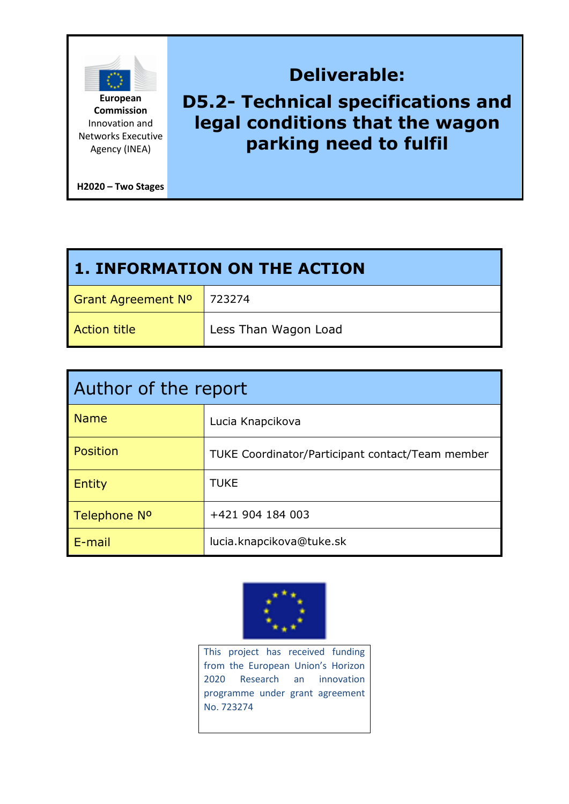

**Commission** Innovation and Networks Executive Agency (INEA)

**H2020 – Two Stages** 

# **Deliverable: D5.2- Technical specifications and legal conditions that the wagon parking need to fulfil**

| <b>1. INFORMATION ON THE ACTION</b> |                      |  |  |
|-------------------------------------|----------------------|--|--|
| Grant Agreement Nº   723274         |                      |  |  |
| <b>Action title</b>                 | Less Than Wagon Load |  |  |

| Author of the report     |                                                         |  |
|--------------------------|---------------------------------------------------------|--|
| <b>Name</b>              | Lucia Knapcikova                                        |  |
| Position                 | <b>TUKE Coordinator/Participant contact/Team member</b> |  |
| <b>Entity</b>            | <b>TUKE</b>                                             |  |
| Telephone N <sup>o</sup> | +421 904 184 003                                        |  |
| $E$ -mail                | lucia.knapcikova@tuke.sk                                |  |



This project has received funding from the European Union's Horizon 2020 Research an innovation programme under grant agreement No. 723274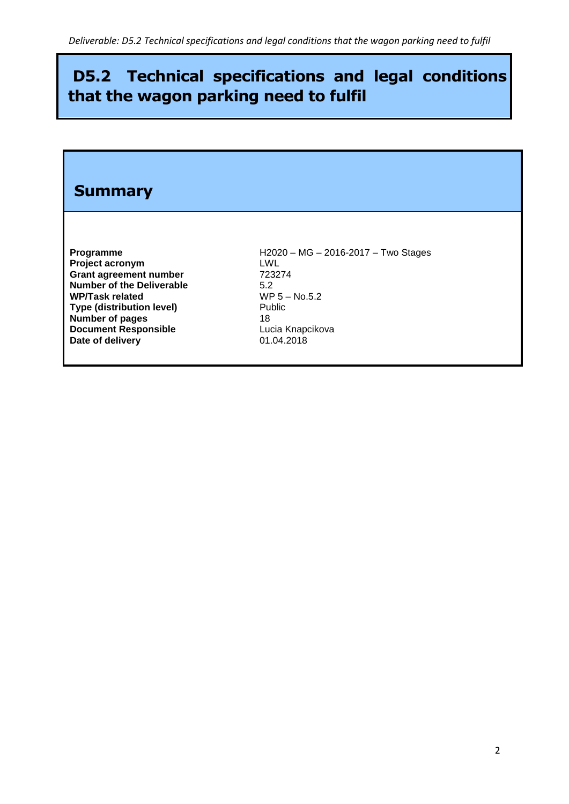## **D5.2 Technical specifications and legal conditions that the wagon parking need to fulfil**

# **Summary Programme** H2020 – MG – 2016-2017 – Two Stages **Project acronym** LWL Grant agreement number **723274 Number of the Deliverable** 5.2 **WP/Task related** WP 5 – No.5.2<br> **Type (distribution level)** Public **Type (distribution level) Number of pages**<br> **Document Responsible**<br> **CALC CONTEXER EXECUTE: Document Responsible** Lucia Knapcide Lucia Knapcide Lucia Knapcide Lucia Knapcide Date of delivery **Date of delivery**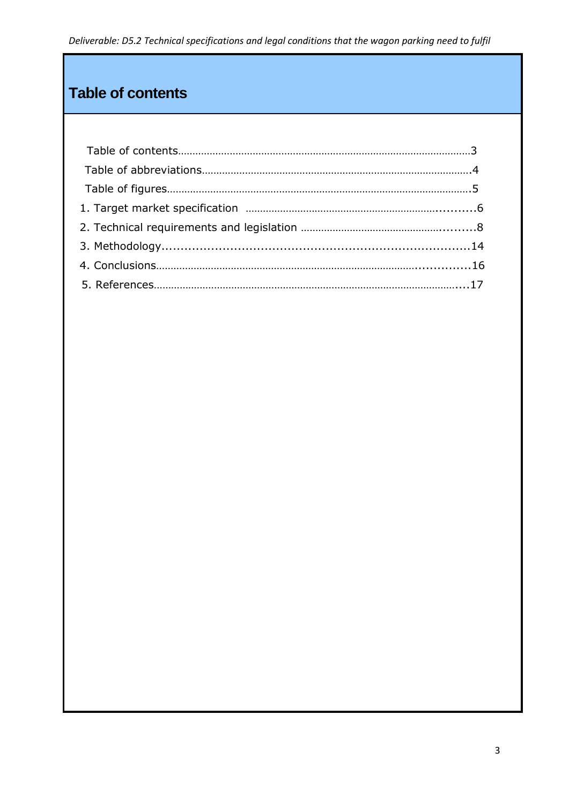## **Table of contents**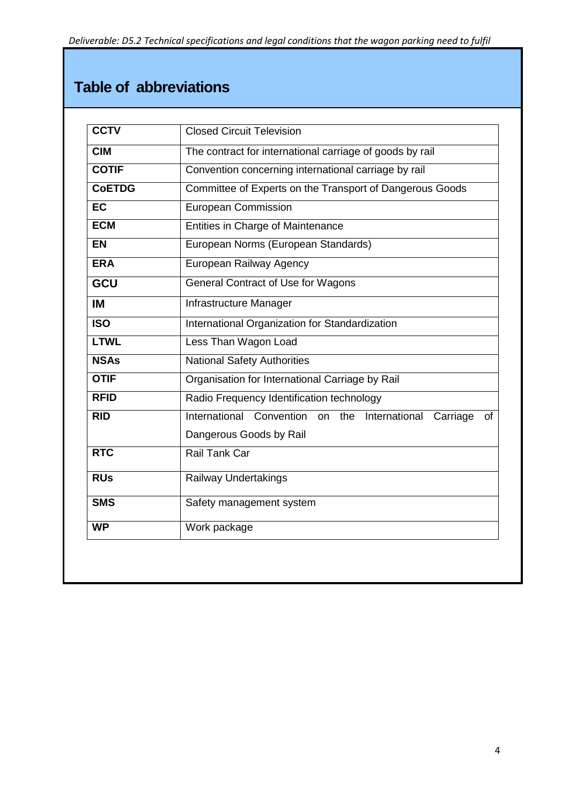## **Table of abbreviations**

| <b>CCTV</b>      | <b>Closed Circuit Television</b>                                                                    |
|------------------|-----------------------------------------------------------------------------------------------------|
| <b>CIM</b>       | The contract for international carriage of goods by rail                                            |
| <b>COTIF</b>     | Convention concerning international carriage by rail                                                |
| <b>CoETDG</b>    | Committee of Experts on the Transport of Dangerous Goods                                            |
| <b>EC</b>        | <b>European Commission</b>                                                                          |
| <b>ECM</b>       | Entities in Charge of Maintenance                                                                   |
| <b>EN</b>        | European Norms (European Standards)                                                                 |
| <b>ERA</b>       | European Railway Agency                                                                             |
| <b>GCU</b>       | <b>General Contract of Use for Wagons</b>                                                           |
| IM               | Infrastructure Manager                                                                              |
| $\overline{ISO}$ | International Organization for Standardization                                                      |
| <b>LTWL</b>      | Less Than Wagon Load                                                                                |
| <b>NSAs</b>      | <b>National Safety Authorities</b>                                                                  |
| <b>OTIF</b>      | Organisation for International Carriage by Rail                                                     |
| <b>RFID</b>      | Radio Frequency Identification technology                                                           |
| <b>RID</b>       | International<br>Convention<br>on the<br>International<br>Carriage<br>οf<br>Dangerous Goods by Rail |
| <b>RTC</b>       | <b>Rail Tank Car</b>                                                                                |
| <b>RUs</b>       | Railway Undertakings                                                                                |
| <b>SMS</b>       | Safety management system                                                                            |
| <b>WP</b>        | Work package                                                                                        |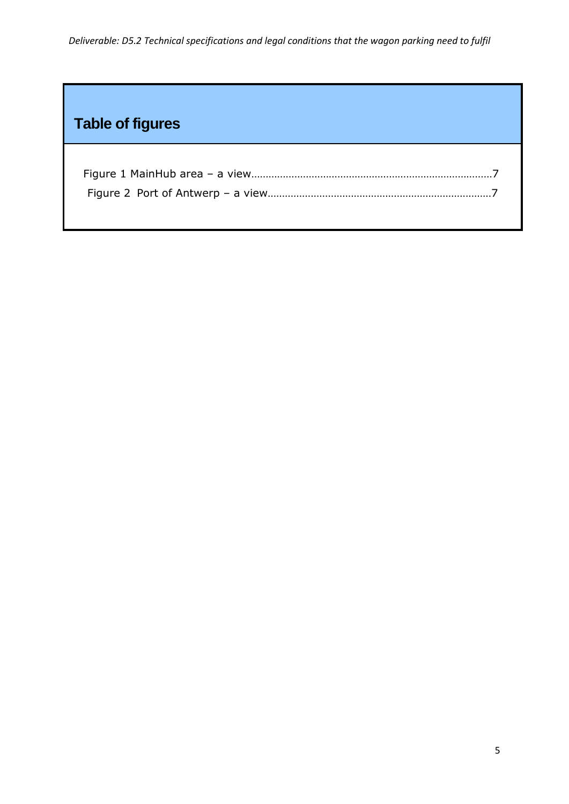# **Table of figures**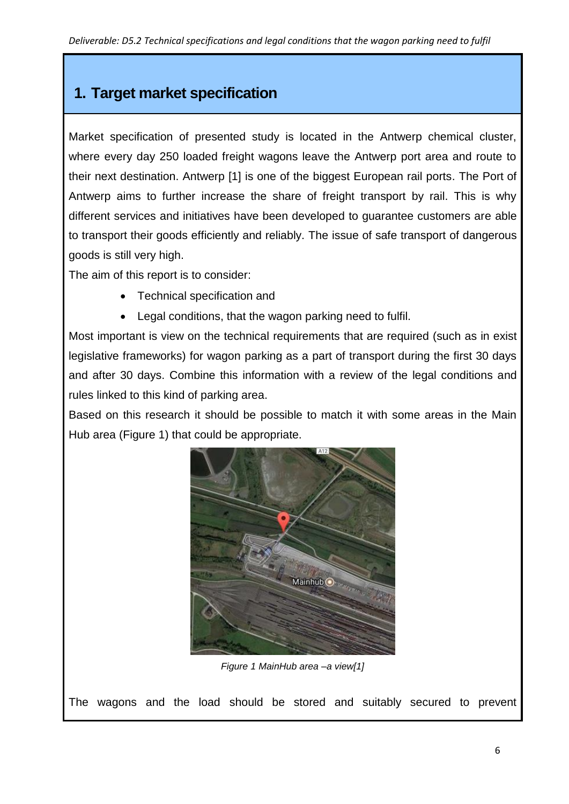## **1. Target market specification**

Market specification of presented study is located in the Antwerp chemical cluster, where every day 250 loaded freight wagons leave the Antwerp port area and route to their next destination. Antwerp [1] is one of the biggest European rail ports. The Port of Antwerp aims to further increase the share of freight transport by rail. This is why different services and initiatives have been developed to guarantee customers are able to transport their goods efficiently and reliably. The issue of safe transport of dangerous goods is still very high.

The aim of this report is to consider:

- Technical specification and
- Legal conditions, that the wagon parking need to fulfil.

Most important is view on the technical requirements that are required (such as in exist legislative frameworks) for wagon parking as a part of transport during the first 30 days and after 30 days. Combine this information with a review of the legal conditions and rules linked to this kind of parking area.

Based on this research it should be possible to match it with some areas in the Main Hub area (Figure 1) that could be appropriate.



*Figure 1 MainHub area –a view[1]*

The wagons and the load should be stored and suitably secured to prevent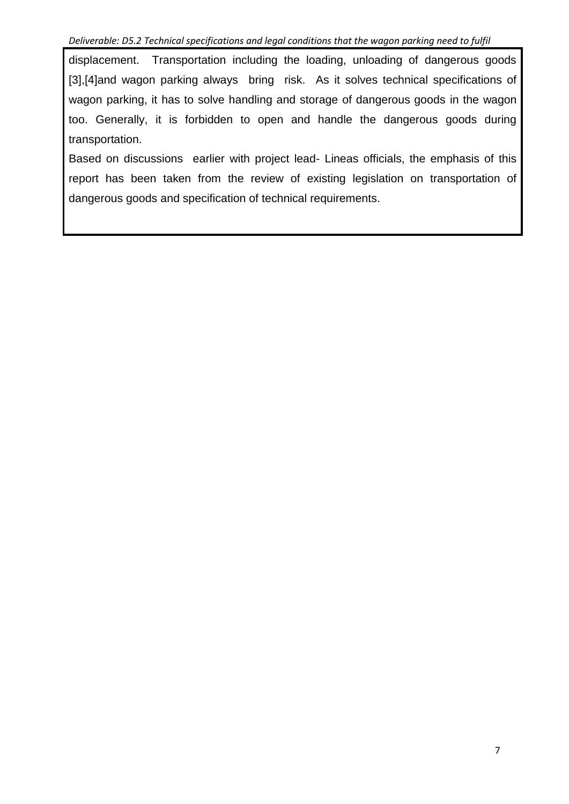displacement. Transportation including the loading, unloading of dangerous goods [3],[4]and wagon parking always bring risk. As it solves technical specifications of wagon parking, it has to solve handling and storage of dangerous goods in the wagon too. Generally, it is forbidden to open and handle the dangerous goods during transportation.

Based on discussions earlier with project lead- Lineas officials, the emphasis of this report has been taken from the review of existing legislation on transportation of dangerous goods and specification of technical requirements.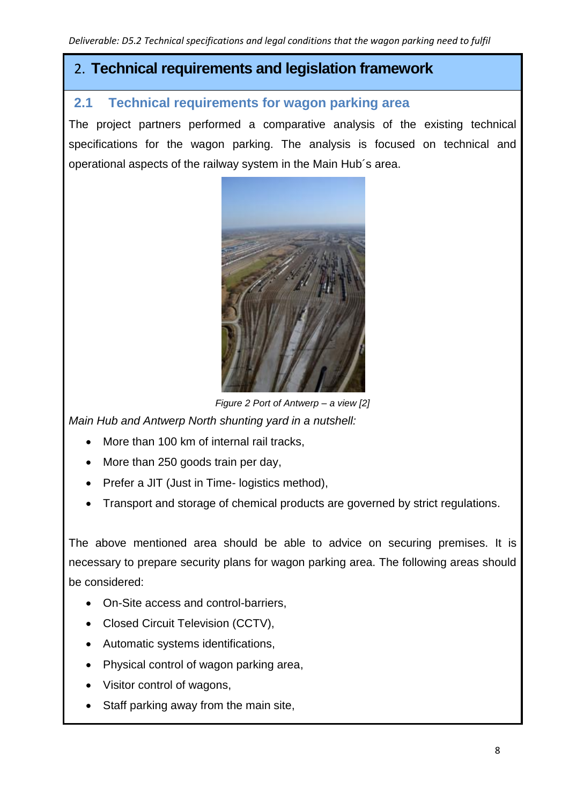### 2. **Technical requirements and legislation framework**

### **2.1 Technical requirements for wagon parking area**

The project partners performed a comparative analysis of the existing technical specifications for the wagon parking. The analysis is focused on technical and operational aspects of the railway system in the Main Hub´s area.



*Figure 2 Port of Antwerp – a view [2]*

*Main Hub and Antwerp North shunting yard in a nutshell:*

- More than 100 km of internal rail tracks,
- More than 250 goods train per day,
- Prefer a JIT (Just in Time- logistics method),
- Transport and storage of chemical products are governed by strict regulations.

The above mentioned area should be able to advice on securing premises. It is necessary to prepare security plans for wagon parking area. The following areas should be considered:

- On-Site access and control-barriers,
- Closed Circuit Television (CCTV),
- Automatic systems identifications,
- Physical control of wagon parking area,
- Visitor control of wagons,
- Staff parking away from the main site,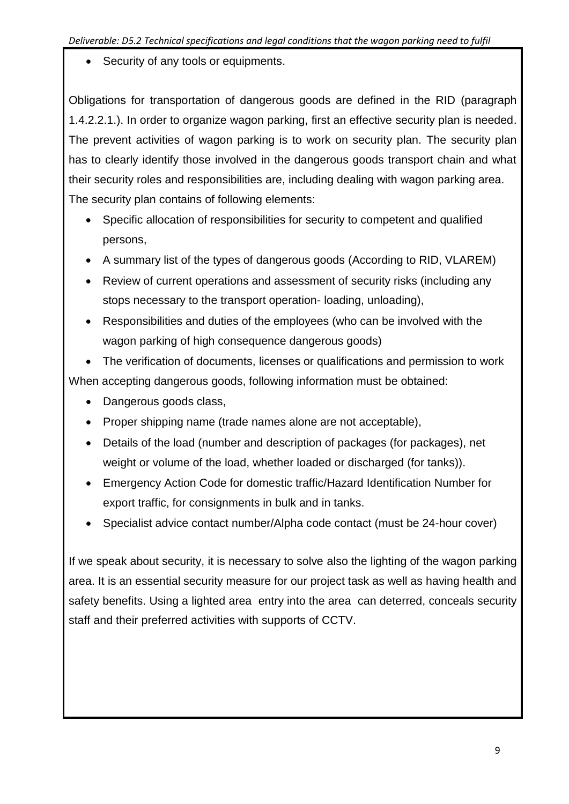Security of any tools or equipments.

Obligations for transportation of dangerous goods are defined in the RID (paragraph 1.4.2.2.1.). In order to organize wagon parking, first an effective security plan is needed. The prevent activities of wagon parking is to work on security plan. The security plan has to clearly identify those involved in the dangerous goods transport chain and what their security roles and responsibilities are, including dealing with wagon parking area. The security plan contains of following elements:

- Specific allocation of responsibilities for security to competent and qualified persons,
- A summary list of the types of dangerous goods (According to RID, VLAREM)
- Review of current operations and assessment of security risks (including any stops necessary to the transport operation- loading, unloading),
- Responsibilities and duties of the employees (who can be involved with the wagon parking of high consequence dangerous goods)

 The verification of documents, licenses or qualifications and permission to work When accepting dangerous goods, following information must be obtained:

- Dangerous goods class,
- Proper shipping name (trade names alone are not acceptable),
- Details of the load (number and description of packages (for packages), net weight or volume of the load, whether loaded or discharged (for tanks)).
- Emergency Action Code for domestic traffic/Hazard Identification Number for export traffic, for consignments in bulk and in tanks.
- Specialist advice contact number/Alpha code contact (must be 24-hour cover)

If we speak about security, it is necessary to solve also the lighting of the wagon parking area. It is an essential security measure for our project task as well as having health and safety benefits. Using a lighted area entry into the area can deterred, conceals security staff and their preferred activities with supports of CCTV.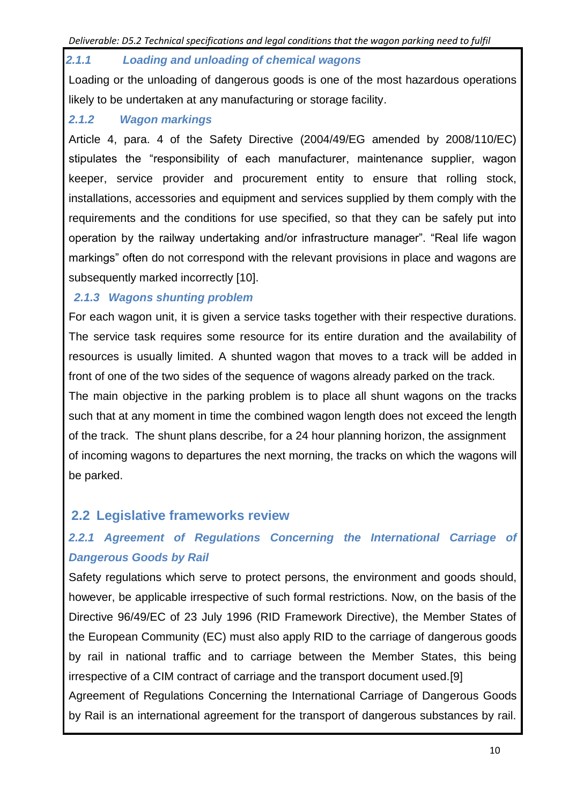#### *2.1.1 Loading and unloading of chemical wagons*

Loading or the unloading of dangerous goods is one of the most hazardous operations likely to be undertaken at any manufacturing or storage facility.

#### *2.1.2 Wagon markings*

Article 4, para. 4 of the Safety Directive (2004/49/EG amended by 2008/110/EC) stipulates the "responsibility of each manufacturer, maintenance supplier, wagon keeper, service provider and procurement entity to ensure that rolling stock, installations, accessories and equipment and services supplied by them comply with the requirements and the conditions for use specified, so that they can be safely put into operation by the railway undertaking and/or infrastructure manager". "Real life wagon markings" often do not correspond with the relevant provisions in place and wagons are subsequently marked incorrectly [10].

#### *2.1.3 Wagons shunting problem*

For each wagon unit, it is given a service tasks together with their respective durations. The service task requires some resource for its entire duration and the availability of resources is usually limited. A shunted wagon that moves to a track will be added in front of one of the two sides of the sequence of wagons already parked on the track.

The main objective in the parking problem is to place all shunt wagons on the tracks such that at any moment in time the combined wagon length does not exceed the length of the track. The shunt plans describe, for a 24 hour planning horizon, the assignment of incoming wagons to departures the next morning, the tracks on which the wagons will be parked.

### **2.2 Legislative frameworks review**

### *2.2.1 Agreement of Regulations Concerning the International Carriage of Dangerous Goods by Rail*

Safety regulations which serve to protect persons, the environment and goods should, however, be applicable irrespective of such formal restrictions. Now, on the basis of the Directive 96/49/EC of 23 July 1996 (RID Framework Directive), the Member States of the European Community (EC) must also apply RID to the carriage of dangerous goods by rail in national traffic and to carriage between the Member States, this being irrespective of a CIM contract of carriage and the transport document used.[9]

Agreement of Regulations Concerning the International Carriage of Dangerous Goods by Rail is an international agreement for the transport of dangerous substances by rail.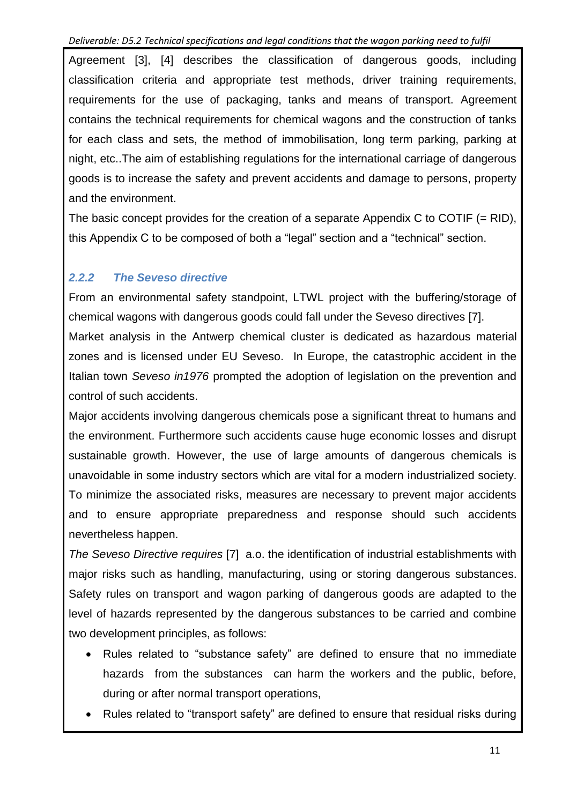Agreement [3], [4] describes the classification of dangerous goods, including classification criteria and appropriate test methods, driver training requirements, requirements for the use of packaging, tanks and means of transport. Agreement contains the technical requirements for chemical wagons and the construction of tanks for each class and sets, the method of immobilisation, long term parking, parking at night, etc..The aim of establishing regulations for the international carriage of dangerous goods is to increase the safety and prevent accidents and damage to persons, property and the environment.

The basic concept provides for the creation of a separate Appendix C to COTIF (= RID), this Appendix C to be composed of both a "legal" section and a "technical" section.

### *2.2.2 The Seveso directive*

From an environmental safety standpoint, LTWL project with the buffering/storage of chemical wagons with dangerous goods could fall under the Seveso directives [7]. Market analysis in the Antwerp chemical cluster is dedicated as hazardous material zones and is licensed under EU Seveso. In Europe, the catastrophic accident in the Italian town *Seveso in1976* prompted the adoption of legislation on the prevention and control of such accidents.

Major accidents involving dangerous chemicals pose a significant threat to humans and the environment. Furthermore such accidents cause huge economic losses and disrupt sustainable growth. However, the use of large amounts of dangerous chemicals is unavoidable in some industry sectors which are vital for a modern industrialized society. To minimize the associated risks, measures are necessary to prevent major accidents and to ensure appropriate preparedness and response should such accidents nevertheless happen.

*The Seveso Directive requires* [7] a.o. the identification of industrial establishments with major risks such as handling, manufacturing, using or storing dangerous substances. Safety rules on transport and wagon parking of dangerous goods are adapted to the level of hazards represented by the dangerous substances to be carried and combine two development principles, as follows:

- Rules related to "substance safety" are defined to ensure that no immediate hazards from the substances can harm the workers and the public, before, during or after normal transport operations,
- Rules related to "transport safety" are defined to ensure that residual risks during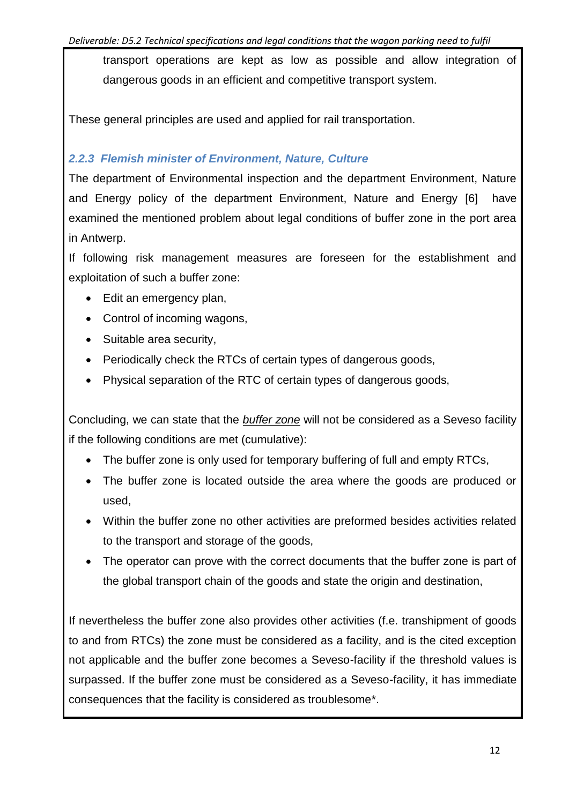transport operations are kept as low as possible and allow integration of dangerous goods in an efficient and competitive transport system.

These general principles are used and applied for rail transportation.

#### *2.2.3 Flemish minister of Environment, Nature, Culture*

The department of Environmental inspection and the department Environment, Nature and Energy policy of the department Environment, Nature and Energy [6] have examined the mentioned problem about legal conditions of buffer zone in the port area in Antwerp.

If following risk management measures are foreseen for the establishment and exploitation of such a buffer zone:

- Edit an emergency plan,
- Control of incoming wagons,
- Suitable area security,
- Periodically check the RTCs of certain types of dangerous goods,
- Physical separation of the RTC of certain types of dangerous goods,

Concluding, we can state that the *buffer zone* will not be considered as a Seveso facility if the following conditions are met (cumulative):

- The buffer zone is only used for temporary buffering of full and empty RTCs,
- The buffer zone is located outside the area where the goods are produced or used,
- Within the buffer zone no other activities are preformed besides activities related to the transport and storage of the goods,
- The operator can prove with the correct documents that the buffer zone is part of the global transport chain of the goods and state the origin and destination,

If nevertheless the buffer zone also provides other activities (f.e. transhipment of goods to and from RTCs) the zone must be considered as a facility, and is the cited exception not applicable and the buffer zone becomes a Seveso-facility if the threshold values is surpassed. If the buffer zone must be considered as a Seveso-facility, it has immediate consequences that the facility is considered as troublesome\*.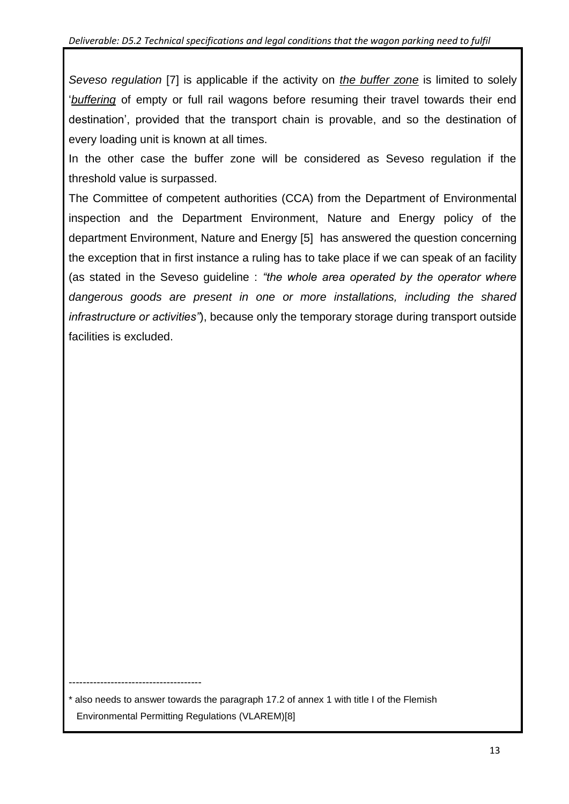*Seveso regulation* [7] is applicable if the activity on *the buffer zone* is limited to solely '*buffering* of empty or full rail wagons before resuming their travel towards their end destination', provided that the transport chain is provable, and so the destination of every loading unit is known at all times.

In the other case the buffer zone will be considered as Seveso regulation if the threshold value is surpassed.

The Committee of competent authorities (CCA) from the Department of Environmental inspection and the Department Environment, Nature and Energy policy of the department Environment, Nature and Energy [5] has answered the question concerning the exception that in first instance a ruling has to take place if we can speak of an facility (as stated in the Seveso guideline : *"the whole area operated by the operator where dangerous goods are present in one or more installations, including the shared infrastructure or activities"*), because only the temporary storage during transport outside facilities is excluded.

\* also needs to answer towards the paragraph 17.2 of annex 1 with title I of the Flemish Environmental Permitting Regulations (VLAREM)[8]

--------------------------------------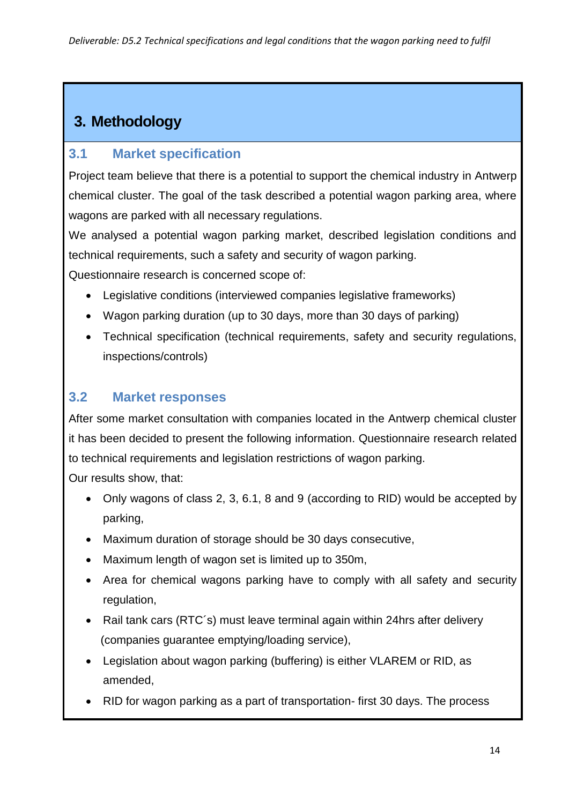## **3. Methodology**

### **3.1 Market specification**

Project team believe that there is a potential to support the chemical industry in Antwerp chemical cluster. The goal of the task described a potential wagon parking area, where wagons are parked with all necessary regulations.

We analysed a potential wagon parking market, described legislation conditions and technical requirements, such a safety and security of wagon parking. Questionnaire research is concerned scope of:

- Legislative conditions (interviewed companies legislative frameworks)
- Wagon parking duration (up to 30 days, more than 30 days of parking)
- Technical specification (technical requirements, safety and security regulations, inspections/controls)

### **3.2 Market responses**

After some market consultation with companies located in the Antwerp chemical cluster it has been decided to present the following information. Questionnaire research related to technical requirements and legislation restrictions of wagon parking.

Our results show, that:

- Only wagons of class 2, 3, 6.1, 8 and 9 (according to RID) would be accepted by parking,
- Maximum duration of storage should be 30 days consecutive,
- Maximum length of wagon set is limited up to 350m,
- Area for chemical wagons parking have to comply with all safety and security regulation,
- Rail tank cars (RTC's) must leave terminal again within 24hrs after delivery (companies guarantee emptying/loading service),
- Legislation about wagon parking (buffering) is either VLAREM or RID, as amended,
- RID for wagon parking as a part of transportation-first 30 days. The process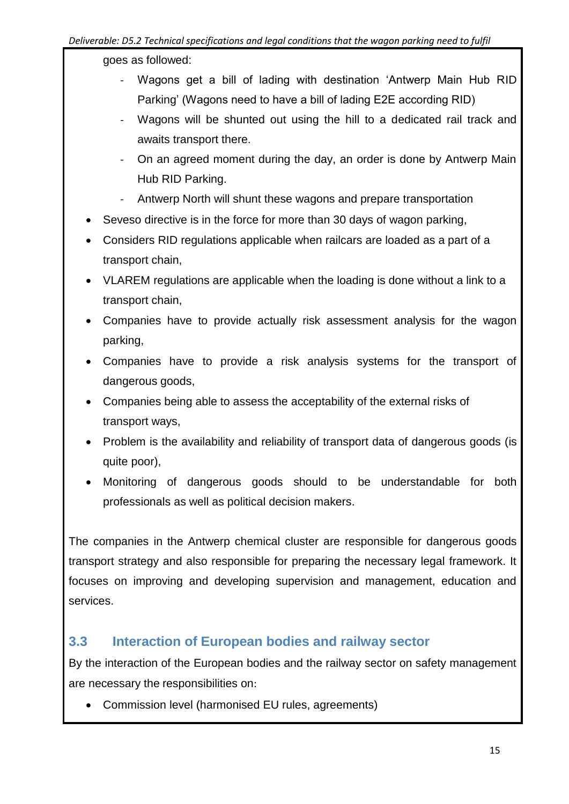goes as followed:

- Wagons get a bill of lading with destination 'Antwerp Main Hub RID Parking' (Wagons need to have a bill of lading E2E according RID)
- Wagons will be shunted out using the hill to a dedicated rail track and awaits transport there.
- On an agreed moment during the day, an order is done by Antwerp Main Hub RID Parking.
- Antwerp North will shunt these wagons and prepare transportation
- Seveso directive is in the force for more than 30 days of wagon parking,
- Considers RID regulations applicable when railcars are loaded as a part of a transport chain,
- VLAREM regulations are applicable when the loading is done without a link to a transport chain,
- Companies have to provide actually risk assessment analysis for the wagon parking,
- Companies have to provide a risk analysis systems for the transport of dangerous goods,
- Companies being able to assess the acceptability of the external risks of transport ways,
- Problem is the availability and reliability of transport data of dangerous goods (is quite poor),
- Monitoring of dangerous goods should to be understandable for both professionals as well as political decision makers.

The companies in the Antwerp chemical cluster are responsible for dangerous goods transport strategy and also responsible for preparing the necessary legal framework. It focuses on improving and developing supervision and management, education and services.

### **3.3 Interaction of European bodies and railway sector**

By the interaction of the European bodies and the railway sector on safety management are necessary the responsibilities on:

Commission level (harmonised EU rules, agreements)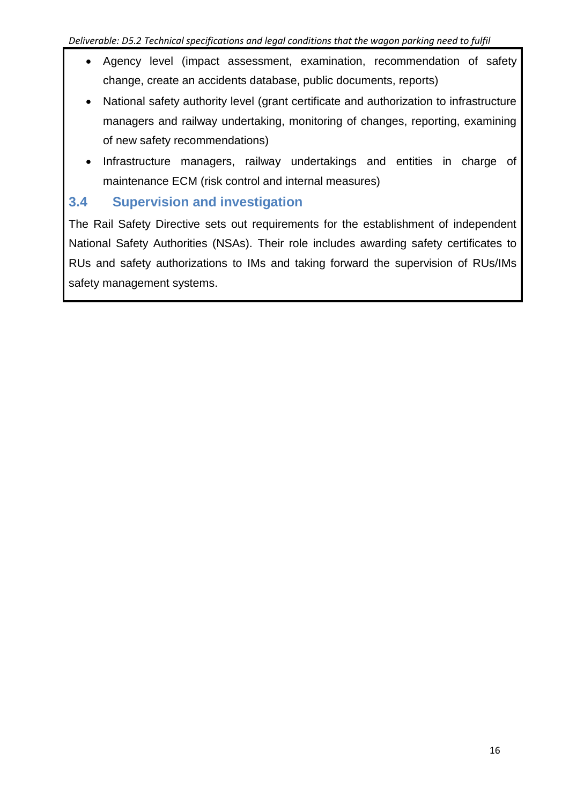- Agency level (impact assessment, examination, recommendation of safety change, create an accidents database, public documents, reports)
- National safety authority level (grant certificate and authorization to infrastructure managers and railway undertaking, monitoring of changes, reporting, examining of new safety recommendations)
- Infrastructure managers, railway undertakings and entities in charge of maintenance ECM (risk control and internal measures)

### **3.4 Supervision and investigation**

The Rail Safety Directive sets out requirements for the establishment of independent National Safety Authorities (NSAs). Their role includes awarding safety certificates to RUs and safety authorizations to IMs and taking forward the supervision of RUs/IMs safety management systems.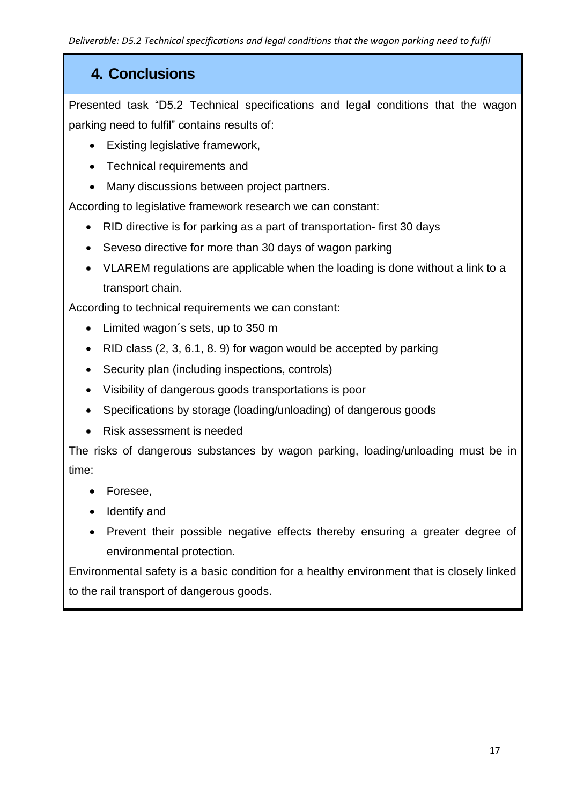## **4. Conclusions**

Presented task "D5.2 Technical specifications and legal conditions that the wagon parking need to fulfil" contains results of:

- Existing legislative framework,
- Technical requirements and
- Many discussions between project partners.

According to legislative framework research we can constant:

- RID directive is for parking as a part of transportation- first 30 days
- Seveso directive for more than 30 days of wagon parking
- VLAREM regulations are applicable when the loading is done without a link to a transport chain.

According to technical requirements we can constant:

- Limited wagon's sets, up to 350 m
- RID class  $(2, 3, 6.1, 8, 9)$  for wagon would be accepted by parking
- Security plan (including inspections, controls)
- Visibility of dangerous goods transportations is poor
- Specifications by storage (loading/unloading) of dangerous goods
- Risk assessment is needed

The risks of dangerous substances by wagon parking, loading/unloading must be in time:

- Foresee,
- Identify and
- Prevent their possible negative effects thereby ensuring a greater degree of environmental protection.

Environmental safety is a basic condition for a healthy environment that is closely linked to the rail transport of dangerous goods.